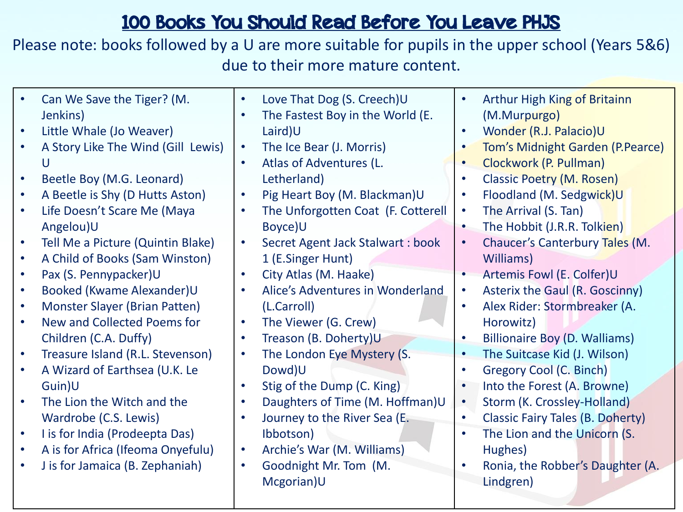## 100 Books You Should Read Before You Leave PHJS

Please note: books followed by a U are more suitable for pupils in the upper school (Years 5&6) due to their more mature content.

| $\bullet$<br>$\bullet$ | Can We Save the Tiger? (M.<br>Jenkins)<br>Little Whale (Jo Weaver)<br>A Story Like The Wind (Gill Lewis)<br>U<br>Beetle Boy (M.G. Leonard)<br>A Beetle is Shy (D Hutts Aston)<br>Life Doesn't Scare Me (Maya<br>Angelou)U<br>Tell Me a Picture (Quintin Blake)<br>A Child of Books (Sam Winston)<br>Pax (S. Pennypacker)U<br>Booked (Kwame Alexander)U<br><b>Monster Slayer (Brian Patten)</b><br>New and Collected Poems for<br>Children (C.A. Duffy)<br>Treasure Island (R.L. Stevenson)<br>A Wizard of Earthsea (U.K. Le<br>Guin)U<br>The Lion the Witch and the<br>Wardrobe (C.S. Lewis)<br>I is for India (Prodeepta Das)<br>A is for Africa (Ifeoma Onyefulu) | $\bullet$<br>$\bullet$<br>$\bullet$<br>$\bullet$<br>$\bullet$<br>$\bullet$<br>$\bullet$<br>$\bullet$<br>$\bullet$<br>$\bullet$<br>$\bullet$<br>$\bullet$<br>$\bullet$<br>$\bullet$<br>$\bullet$<br>$\bullet$ | Love That Dog (S. Creech)U<br>The Fastest Boy in the World (E.<br>Laird)U<br>The Ice Bear (J. Morris)<br>Atlas of Adventures (L.<br>Letherland)<br>Pig Heart Boy (M. Blackman)U<br>The Unforgotten Coat (F. Cotterell<br>Boyce)U<br>Secret Agent Jack Stalwart : book<br>1 (E.Singer Hunt)<br>City Atlas (M. Haake)<br>Alice's Adventures in Wonderland<br>(L.Carroll)<br>The Viewer (G. Crew)<br>Treason (B. Doherty)U<br>The London Eye Mystery (S.<br>Dowd)U<br>Stig of the Dump (C. King)<br>Daughters of Time (M. Hoffman)U<br>Journey to the River Sea (E.<br>Ibbotson)<br>Archie's War (M. Williams) | $\bullet$<br>$\bullet$<br>$\bullet$<br>$\bullet$<br>$\bullet$<br>$\bullet$<br>$\bullet$<br>$\bullet$<br>$\bullet$<br>$\bullet$<br>$\bullet$<br>$\bullet$<br>$\bullet$<br>$\bullet$<br>$\bullet$<br>$\bullet$<br>$\bullet$ | <b>Arthur High King of Britainn</b><br>(M.Murpurgo)<br>Wonder (R.J. Palacio)U<br>Tom's Midnight Garden (P.Pearce)<br>Clockwork (P. Pullman)<br><b>Classic Poetry (M. Rosen)</b><br>Floodland (M. Sedgwick)U<br>The Arrival (S. Tan)<br>The Hobbit (J.R.R. Tolkien)<br>Chaucer's Canterbury Tales (M.<br>Williams)<br>Artemis Fowl (E. Colfer)U<br>Asterix the Gaul (R. Goscinny)<br>Alex Rider: Stormbreaker (A.<br>Horowitz)<br><b>Billionaire Boy (D. Walliams)</b><br>The Suitcase Kid (J. Wilson)<br>Gregory Cool (C. Binch)<br>Into the Forest (A. Browne)<br>Storm (K. Crossley-Holland)<br><b>Classic Fairy Tales (B. Doherty)</b><br>The Lion and the Unicorn (S.<br>Hughes) |
|------------------------|---------------------------------------------------------------------------------------------------------------------------------------------------------------------------------------------------------------------------------------------------------------------------------------------------------------------------------------------------------------------------------------------------------------------------------------------------------------------------------------------------------------------------------------------------------------------------------------------------------------------------------------------------------------------|--------------------------------------------------------------------------------------------------------------------------------------------------------------------------------------------------------------|-------------------------------------------------------------------------------------------------------------------------------------------------------------------------------------------------------------------------------------------------------------------------------------------------------------------------------------------------------------------------------------------------------------------------------------------------------------------------------------------------------------------------------------------------------------------------------------------------------------|---------------------------------------------------------------------------------------------------------------------------------------------------------------------------------------------------------------------------|--------------------------------------------------------------------------------------------------------------------------------------------------------------------------------------------------------------------------------------------------------------------------------------------------------------------------------------------------------------------------------------------------------------------------------------------------------------------------------------------------------------------------------------------------------------------------------------------------------------------------------------------------------------------------------------|
|                        | J is for Jamaica (B. Zephaniah)                                                                                                                                                                                                                                                                                                                                                                                                                                                                                                                                                                                                                                     | $\bullet$                                                                                                                                                                                                    | Goodnight Mr. Tom (M.<br>Mcgorian)U                                                                                                                                                                                                                                                                                                                                                                                                                                                                                                                                                                         | $\bullet$                                                                                                                                                                                                                 | Ronia, the Robber's Daughter (A.<br>Lindgren)                                                                                                                                                                                                                                                                                                                                                                                                                                                                                                                                                                                                                                        |
|                        |                                                                                                                                                                                                                                                                                                                                                                                                                                                                                                                                                                                                                                                                     |                                                                                                                                                                                                              |                                                                                                                                                                                                                                                                                                                                                                                                                                                                                                                                                                                                             |                                                                                                                                                                                                                           |                                                                                                                                                                                                                                                                                                                                                                                                                                                                                                                                                                                                                                                                                      |